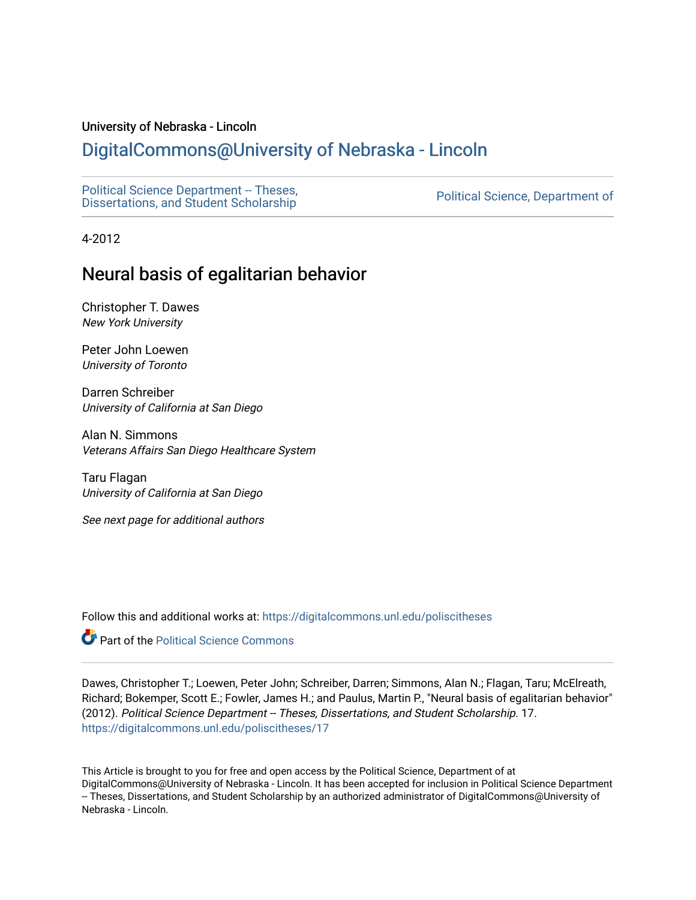### University of Nebraska - Lincoln

# [DigitalCommons@University of Nebraska - Lincoln](https://digitalcommons.unl.edu/)

[Political Science Department -- Theses,](https://digitalcommons.unl.edu/poliscitheses) Political Science Department - Theses,<br>[Dissertations, and Student Scholarship](https://digitalcommons.unl.edu/poliscitheses) Political Science, Department of

4-2012

## Neural basis of egalitarian behavior

Christopher T. Dawes New York University

Peter John Loewen University of Toronto

Darren Schreiber University of California at San Diego

Alan N. Simmons Veterans Affairs San Diego Healthcare System

Taru Flagan University of California at San Diego

See next page for additional authors

Follow this and additional works at: [https://digitalcommons.unl.edu/poliscitheses](https://digitalcommons.unl.edu/poliscitheses?utm_source=digitalcommons.unl.edu%2Fpoliscitheses%2F17&utm_medium=PDF&utm_campaign=PDFCoverPages)

**Part of the Political Science Commons** 

Dawes, Christopher T.; Loewen, Peter John; Schreiber, Darren; Simmons, Alan N.; Flagan, Taru; McElreath, Richard; Bokemper, Scott E.; Fowler, James H.; and Paulus, Martin P., "Neural basis of egalitarian behavior" (2012). Political Science Department -- Theses, Dissertations, and Student Scholarship. 17. [https://digitalcommons.unl.edu/poliscitheses/17](https://digitalcommons.unl.edu/poliscitheses/17?utm_source=digitalcommons.unl.edu%2Fpoliscitheses%2F17&utm_medium=PDF&utm_campaign=PDFCoverPages) 

This Article is brought to you for free and open access by the Political Science, Department of at DigitalCommons@University of Nebraska - Lincoln. It has been accepted for inclusion in Political Science Department -- Theses, Dissertations, and Student Scholarship by an authorized administrator of DigitalCommons@University of Nebraska - Lincoln.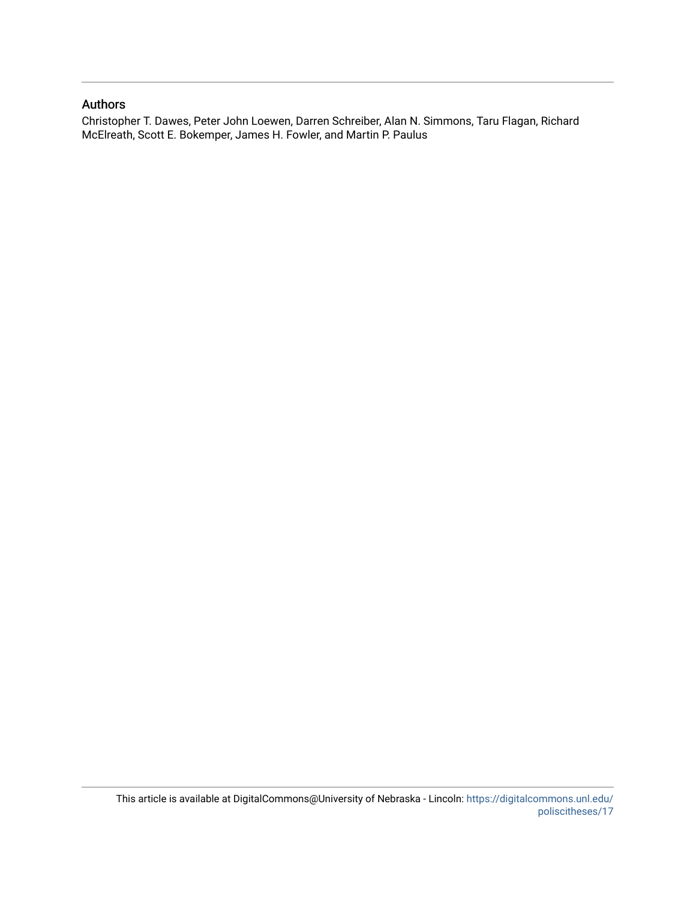### Authors

Christopher T. Dawes, Peter John Loewen, Darren Schreiber, Alan N. Simmons, Taru Flagan, Richard McElreath, Scott E. Bokemper, James H. Fowler, and Martin P. Paulus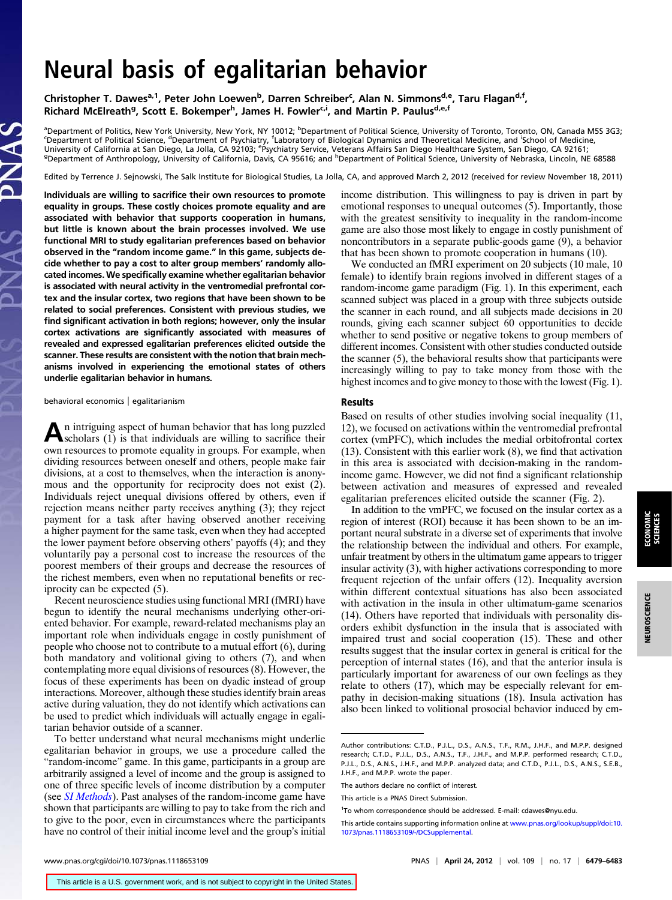Christopher T. Dawes<sup>a,1</sup>, Peter John Loewen<sup>b</sup>, Darren Schreiber<sup>c</sup>, Alan N. Simmons<sup>d,e</sup>, Taru Flagan<sup>d,f</sup>, Richard McElreath<sup>g</sup>, Scott E. Bokemper<sup>h</sup>, James H. Fowler<sup>c,i</sup>, and Martin P. Paulus<sup>d,e,f</sup>

<sup>a</sup>Department of Politics, New York University, New York, NY 10012; <sup>b</sup>Department of Political Science, University of Toronto, Toronto, ON, Canada M5S 3G3;<br>SDepartment of Political Science, <sup>d</sup>Department of Psychiatry, <sup>f</sup> Department of Political Science, <sup>d</sup>Department of Psychiatry, <sup>f</sup>Laboratory of Biological Dynamics and Theoretical Medicine, and School of Medicine, University of California at San Diego, La Jolla, CA 92103; <sup>e</sup>Psychiatry Service, Veterans Affairs San Diego Healthcare System, San Diego, CA 92161;<br><sup>9</sup>Department of Anthropology, University of California, Davis, CA 95616;

Edited by Terrence J. Sejnowski, The Salk Institute for Biological Studies, La Jolla, CA, and approved March 2, 2012 (received for review November 18, 2011)

Individuals are willing to sacrifice their own resources to promote equality in groups. These costly choices promote equality and are associated with behavior that supports cooperation in humans, but little is known about the brain processes involved. We use functional MRI to study egalitarian preferences based on behavior observed in the "random income game." In this game, subjects decide whether to pay a cost to alter group members' randomly allocated incomes. We specifically examine whether egalitarian behavior is associated with neural activity in the ventromedial prefrontal cortex and the insular cortex, two regions that have been shown to be related to social preferences. Consistent with previous studies, we find significant activation in both regions; however, only the insular cortex activations are significantly associated with measures of revealed and expressed egalitarian preferences elicited outside the scanner. These results are consistent with the notion that brain mechanisms involved in experiencing the emotional states of others underlie egalitarian behavior in humans.

behavioral economics | egalitarianism

An intriguing aspect of human behavior that has long puzzled<br>scholars (1) is that individuals are willing to sacrifice their own resources to promote equality in groups. For example, when dividing resources between oneself and others, people make fair divisions, at a cost to themselves, when the interaction is anonymous and the opportunity for reciprocity does not exist (2). Individuals reject unequal divisions offered by others, even if rejection means neither party receives anything (3); they reject payment for a task after having observed another receiving a higher payment for the same task, even when they had accepted the lower payment before observing others' payoffs (4); and they voluntarily pay a personal cost to increase the resources of the poorest members of their groups and decrease the resources of the richest members, even when no reputational benefits or reciprocity can be expected (5).

Recent neuroscience studies using functional MRI (fMRI) have begun to identify the neural mechanisms underlying other-oriented behavior. For example, reward-related mechanisms play an important role when individuals engage in costly punishment of people who choose not to contribute to a mutual effort (6), during both mandatory and volitional giving to others (7), and when contemplating more equal divisions of resources (8). However, the focus of these experiments has been on dyadic instead of group interactions. Moreover, although these studies identify brain areas active during valuation, they do not identify which activations can be used to predict which individuals will actually engage in egalitarian behavior outside of a scanner.

To better understand what neural mechanisms might underlie egalitarian behavior in groups, we use a procedure called the "random-income" game. In this game, participants in a group are arbitrarily assigned a level of income and the group is assigned to one of three specific levels of income distribution by a computer (see *[SI Methods](http://www.pnas.org/lookup/suppl/doi:10.1073/pnas.1118653109/-/DCSupplemental/pnas.201118653SI.pdf?targetid=nameddest=STXT)*). Past analyses of the random-income game have shown that participants are willing to pay to take from the rich and to give to the poor, even in circumstances where the participants have no control of their initial income level and the group's initial

This article is a U.S. government work, and is not subject to copyright in the United States.

income distribution. This willingness to pay is driven in part by emotional responses to unequal outcomes (5). Importantly, those with the greatest sensitivity to inequality in the random-income game are also those most likely to engage in costly punishment of noncontributors in a separate public-goods game (9), a behavior that has been shown to promote cooperation in humans (10).

We conducted an fMRI experiment on 20 subjects (10 male, 10 female) to identify brain regions involved in different stages of a random-income game paradigm (Fig. 1). In this experiment, each scanned subject was placed in a group with three subjects outside the scanner in each round, and all subjects made decisions in 20 rounds, giving each scanner subject 60 opportunities to decide whether to send positive or negative tokens to group members of different incomes. Consistent with other studies conducted outside the scanner (5), the behavioral results show that participants were increasingly willing to pay to take money from those with the highest incomes and to give money to those with the lowest (Fig. 1).

### Results

Based on results of other studies involving social inequality (11, 12), we focused on activations within the ventromedial prefrontal cortex (vmPFC), which includes the medial orbitofrontal cortex (13). Consistent with this earlier work (8), we find that activation in this area is associated with decision-making in the randomincome game. However, we did not find a significant relationship between activation and measures of expressed and revealed egalitarian preferences elicited outside the scanner (Fig. 2).

In addition to the vmPFC, we focused on the insular cortex as a region of interest (ROI) because it has been shown to be an important neural substrate in a diverse set of experiments that involve the relationship between the individual and others. For example, unfair treatment by others in the ultimatum game appears to trigger insular activity (3), with higher activations corresponding to more frequent rejection of the unfair offers (12). Inequality aversion within different contextual situations has also been associated with activation in the insula in other ultimatum-game scenarios (14). Others have reported that individuals with personality disorders exhibit dysfunction in the insula that is associated with impaired trust and social cooperation (15). These and other results suggest that the insular cortex in general is critical for the perception of internal states (16), and that the anterior insula is particularly important for awareness of our own feelings as they relate to others (17), which may be especially relevant for empathy in decision-making situations (18). Insula activation has also been linked to volitional prosocial behavior induced by em-

ECONOMIC

NEUROSCIENCE

**JEUROSCIENCE** 

Author contributions: C.T.D., P.J.L., D.S., A.N.S., T.F., R.M., J.H.F., and M.P.P. designed research; C.T.D., P.J.L., D.S., A.N.S., T.F., J.H.F., and M.P.P. performed research; C.T.D., P.J.L., D.S., A.N.S., J.H.F., and M.P.P. analyzed data; and C.T.D., P.J.L., D.S., A.N.S., S.E.B., J.H.F., and M.P.P. wrote the paper.

The authors declare no conflict of interest.

This article is a PNAS Direct Submission.

<sup>&</sup>lt;sup>1</sup>To whom correspondence should be addressed. E-mail: [cdawes@nyu.edu](mailto:cdawes@nyu.edu).

This article contains supporting information online at [www.pnas.org/lookup/suppl/doi:10.](http://www.pnas.org/lookup/suppl/doi:10.1073/pnas.1118653109/-/DCSupplemental) [1073/pnas.1118653109/-/DCSupplemental](http://www.pnas.org/lookup/suppl/doi:10.1073/pnas.1118653109/-/DCSupplemental).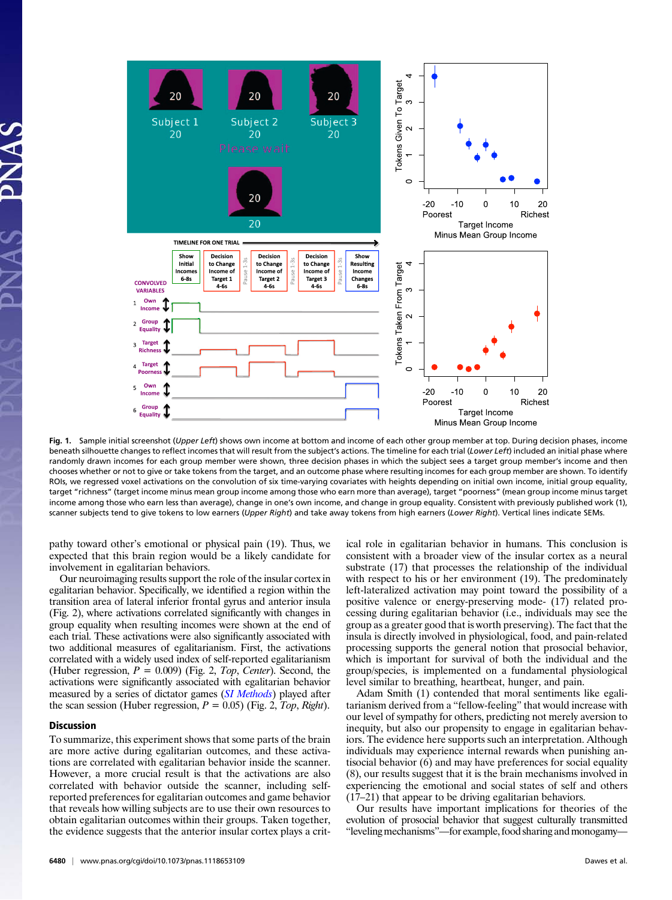

Fig. 1. Sample initial screenshot (Upper Left) shows own income at bottom and income of each other group member at top. During decision phases, income beneath silhouette changes to reflect incomes that will result from the subject's actions. The timeline for each trial (Lower Left) included an initial phase where randomly drawn incomes for each group member were shown, three decision phases in which the subject sees a target group member's income and then chooses whether or not to give or take tokens from the target, and an outcome phase where resulting incomes for each group member are shown. To identify ROIs, we regressed voxel activations on the convolution of six time-varying covariates with heights depending on initial own income, initial group equality, target "richness" (target income minus mean group income among those who earn more than average), target "poorness" (mean group income minus target income among those who earn less than average), change in one's own income, and change in group equality. Consistent with previously published work (1), scanner subjects tend to give tokens to low earners (Upper Right) and take away tokens from high earners (Lower Right). Vertical lines indicate SEMs.

pathy toward other's emotional or physical pain (19). Thus, we expected that this brain region would be a likely candidate for involvement in egalitarian behaviors.

Our neuroimaging results support the role of the insular cortex in egalitarian behavior. Specifically, we identified a region within the transition area of lateral inferior frontal gyrus and anterior insula (Fig. 2), where activations correlated significantly with changes in group equality when resulting incomes were shown at the end of each trial. These activations were also significantly associated with two additional measures of egalitarianism. First, the activations correlated with a widely used index of self-reported egalitarianism (Huber regression,  $P = 0.009$ ) (Fig. 2, Top, Center). Second, the activations were significantly associated with egalitarian behavior measured by a series of dictator games ([SI Methods](http://www.pnas.org/lookup/suppl/doi:10.1073/pnas.1118653109/-/DCSupplemental/pnas.201118653SI.pdf?targetid=nameddest=STXT)) played after the scan session (Huber regression,  $P = 0.05$ ) (Fig. 2, Top, Right).

### **Discussion**

To summarize, this experiment shows that some parts of the brain are more active during egalitarian outcomes, and these activations are correlated with egalitarian behavior inside the scanner. However, a more crucial result is that the activations are also correlated with behavior outside the scanner, including selfreported preferences for egalitarian outcomes and game behavior that reveals how willing subjects are to use their own resources to obtain egalitarian outcomes within their groups. Taken together, the evidence suggests that the anterior insular cortex plays a critical role in egalitarian behavior in humans. This conclusion is consistent with a broader view of the insular cortex as a neural substrate (17) that processes the relationship of the individual with respect to his or her environment (19). The predominately left-lateralized activation may point toward the possibility of a positive valence or energy-preserving mode- (17) related processing during egalitarian behavior (i.e., individuals may see the group as a greater good that is worth preserving). The fact that the insula is directly involved in physiological, food, and pain-related processing supports the general notion that prosocial behavior, which is important for survival of both the individual and the group/species, is implemented on a fundamental physiological level similar to breathing, heartbeat, hunger, and pain.

Adam Smith (1) contended that moral sentiments like egalitarianism derived from a "fellow-feeling" that would increase with our level of sympathy for others, predicting not merely aversion to inequity, but also our propensity to engage in egalitarian behaviors. The evidence here supports such an interpretation. Although individuals may experience internal rewards when punishing antisocial behavior (6) and may have preferences for social equality (8), our results suggest that it is the brain mechanisms involved in experiencing the emotional and social states of self and others (17–21) that appear to be driving egalitarian behaviors.

Our results have important implications for theories of the evolution of prosocial behavior that suggest culturally transmitted "leveling mechanisms"—for example, food sharing and monogamy—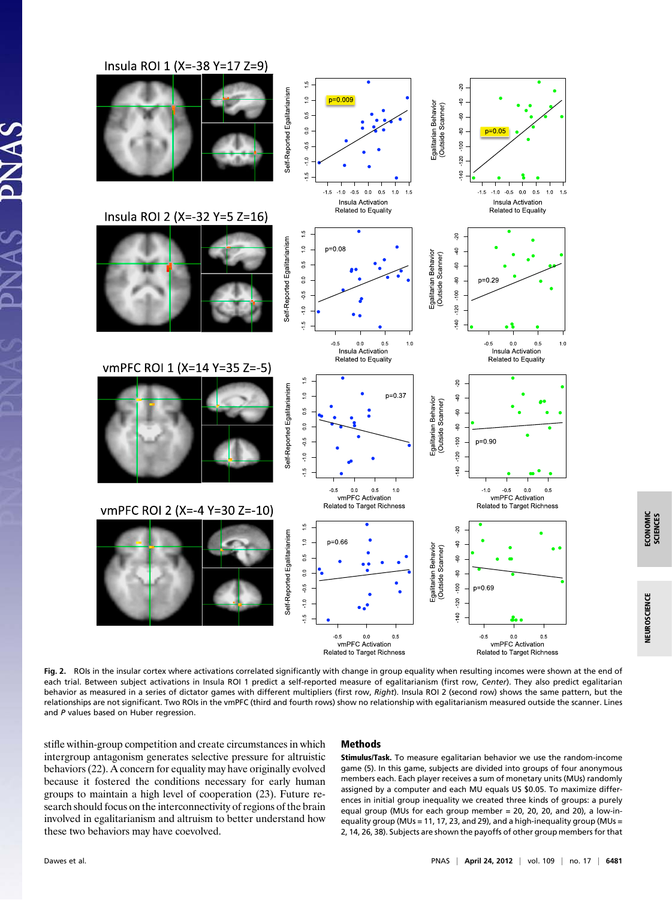

Fig. 2. ROIs in the insular cortex where activations correlated significantly with change in group equality when resulting incomes were shown at the end of each trial. Between subject activations in Insula ROI 1 predict a self-reported measure of egalitarianism (first row, Center). They also predict egalitarian behavior as measured in a series of dictator games with different multipliers (first row, Right). Insula ROI 2 (second row) shows the same pattern, but the relationships are not significant. Two ROIs in the vmPFC (third and fourth rows) show no relationship with egalitarianism measured outside the scanner. Lines and P values based on Huber regression.

stifle within-group competition and create circumstances in which intergroup antagonism generates selective pressure for altruistic behaviors (22). A concern for equality may have originally evolved because it fostered the conditions necessary for early human groups to maintain a high level of cooperation (23). Future research should focus on the interconnectivity of regions of the brain involved in egalitarianism and altruism to better understand how these two behaviors may have coevolved.

### Methods

Stimulus/Task. To measure egalitarian behavior we use the random-income game (5). In this game, subjects are divided into groups of four anonymous members each. Each player receives a sum of monetary units (MUs) randomly assigned by a computer and each MU equals US \$0.05. To maximize differences in initial group inequality we created three kinds of groups: a purely equal group (MUs for each group member = 20, 20, 20, and 20), a low-inequality group (MUs = 11, 17, 23, and 29), and a high-inequality group (MUs = 2, 14, 26, 38). Subjects are shown the payoffs of other group members for that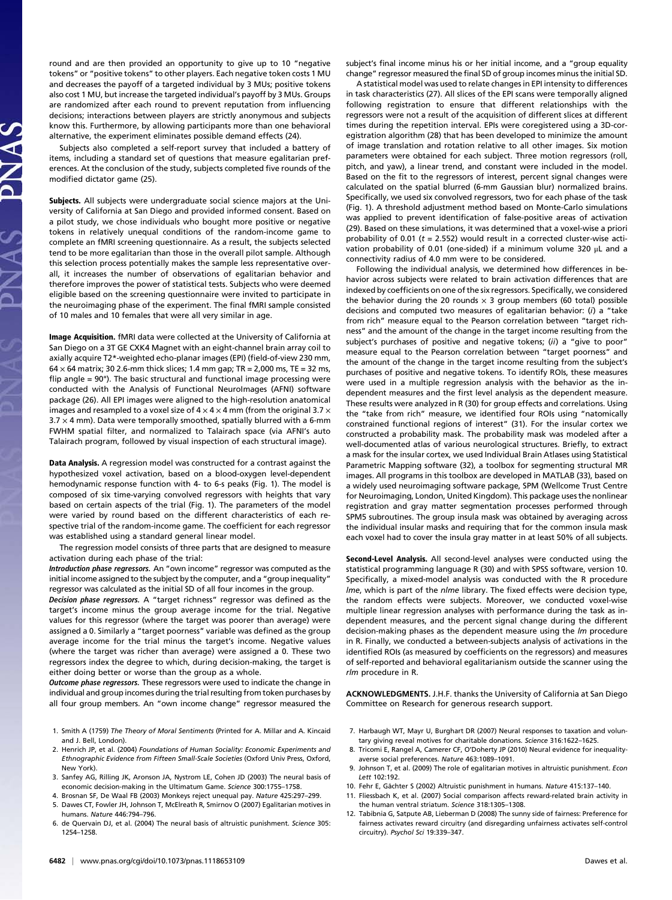round and are then provided an opportunity to give up to 10 "negative tokens" or "positive tokens" to other players. Each negative token costs 1 MU and decreases the payoff of a targeted individual by 3 MUs; positive tokens also cost 1 MU, but increase the targeted individual's payoff by 3 MUs. Groups are randomized after each round to prevent reputation from influencing decisions; interactions between players are strictly anonymous and subjects know this. Furthermore, by allowing participants more than one behavioral alternative, the experiment eliminates possible demand effects (24).

Subjects also completed a self-report survey that included a battery of items, including a standard set of questions that measure egalitarian preferences. At the conclusion of the study, subjects completed five rounds of the modified dictator game (25).

Subjects. All subjects were undergraduate social science majors at the University of California at San Diego and provided informed consent. Based on a pilot study, we chose individuals who bought more positive or negative tokens in relatively unequal conditions of the random-income game to complete an fMRI screening questionnaire. As a result, the subjects selected tend to be more egalitarian than those in the overall pilot sample. Although this selection process potentially makes the sample less representative overall, it increases the number of observations of egalitarian behavior and therefore improves the power of statistical tests. Subjects who were deemed eligible based on the screening questionnaire were invited to participate in the neuroimaging phase of the experiment. The final fMRI sample consisted of 10 males and 10 females that were all very similar in age.

Image Acquisition. fMRI data were collected at the University of California at San Diego on a 3T GE CXK4 Magnet with an eight-channel brain array coil to axially acquire T2\*-weighted echo-planar images (EPI) (field-of-view 230 mm,  $64 \times 64$  matrix; 30 2.6-mm thick slices; 1.4 mm gap; TR = 2,000 ms, TE = 32 ms, flip angle = 90°). The basic structural and functional image processing were conducted with the Analysis of Functional NeuroImages (AFNI) software package (26). All EPI images were aligned to the high-resolution anatomical images and resampled to a voxel size of  $4 \times 4 \times 4$  mm (from the original 3.7  $\times$  $3.7 \times 4$  mm). Data were temporally smoothed, spatially blurred with a 6-mm FWHM spatial filter, and normalized to Talairach space (via AFNI's auto Talairach program, followed by visual inspection of each structural image).

Data Analysis. A regression model was constructed for a contrast against the hypothesized voxel activation, based on a blood-oxygen level-dependent hemodynamic response function with 4- to 6-s peaks (Fig. 1). The model is composed of six time-varying convolved regressors with heights that vary based on certain aspects of the trial (Fig. 1). The parameters of the model were varied by round based on the different characteristics of each respective trial of the random-income game. The coefficient for each regressor was established using a standard general linear model.

The regression model consists of three parts that are designed to measure activation during each phase of the trial:

Introduction phase regressors. An "own income" regressor was computed as the initial income assigned to the subject by the computer, and a "group inequality" regressor was calculated as the initial SD of all four incomes in the group.

Decision phase regressors. A "target richness" regressor was defined as the target's income minus the group average income for the trial. Negative values for this regressor (where the target was poorer than average) were assigned a 0. Similarly a "target poorness" variable was defined as the group average income for the trial minus the target's income. Negative values (where the target was richer than average) were assigned a 0. These two regressors index the degree to which, during decision-making, the target is either doing better or worse than the group as a whole.

Outcome phase regressors. These regressors were used to indicate the change in individual and group incomes during the trial resulting from token purchases by all four group members. An "own income change" regressor measured the

- 1. Smith A (1759) The Theory of Moral Sentiments (Printed for A. Millar and A. Kincaid and J. Bell, London).
- 2. Henrich JP, et al. (2004) Foundations of Human Sociality: Economic Experiments and Ethnographic Evidence from Fifteen Small-Scale Societies (Oxford Univ Press, Oxford, New York).
- 3. Sanfey AG, Rilling JK, Aronson JA, Nystrom LE, Cohen JD (2003) The neural basis of economic decision-making in the Ultimatum Game. Science 300:1755–1758.
- 4. Brosnan SF, De Waal FB (2003) Monkeys reject unequal pay. Nature 425:297–299.
- 5. Dawes CT, Fowler JH, Johnson T, McElreath R, Smirnov O (2007) Egalitarian motives in humans. Nature 446:794–796.
- 6. de Quervain DJ, et al. (2004) The neural basis of altruistic punishment. Science 305: 1254–1258.

subject's final income minus his or her initial income, and a "group equality change" regressor measured the final SD of group incomes minus the initial SD.

A statistical model was used to relate changes in EPI intensity to differences in task characteristics (27). All slices of the EPI scans were temporally aligned following registration to ensure that different relationships with the regressors were not a result of the acquisition of different slices at different times during the repetition interval. EPIs were coregistered using a 3D-coregistration algorithm (28) that has been developed to minimize the amount of image translation and rotation relative to all other images. Six motion parameters were obtained for each subject. Three motion regressors (roll, pitch, and yaw), a linear trend, and constant were included in the model. Based on the fit to the regressors of interest, percent signal changes were calculated on the spatial blurred (6-mm Gaussian blur) normalized brains. Specifically, we used six convolved regressors, two for each phase of the task (Fig. 1). A threshold adjustment method based on Monte-Carlo simulations was applied to prevent identification of false-positive areas of activation (29). Based on these simulations, it was determined that a voxel-wise a priori probability of 0.01 ( $t = 2.552$ ) would result in a corrected cluster-wise activation probability of 0.01 (one-sided) if a minimum volume 320 μL and a connectivity radius of 4.0 mm were to be considered.

Following the individual analysis, we determined how differences in behavior across subjects were related to brain activation differences that are indexed by coefficients on one of the six regressors. Specifically, we considered the behavior during the 20 rounds  $\times$  3 group members (60 total) possible decisions and computed two measures of egalitarian behavior: (i) a "take from rich" measure equal to the Pearson correlation between "target richness" and the amount of the change in the target income resulting from the subject's purchases of positive and negative tokens; (ii) a "give to poor" measure equal to the Pearson correlation between "target poorness" and the amount of the change in the target income resulting from the subject's purchases of positive and negative tokens. To identify ROIs, these measures were used in a multiple regression analysis with the behavior as the independent measures and the first level analysis as the dependent measure. These results were analyzed in R (30) for group effects and correlations. Using the "take from rich" measure, we identified four ROIs using "natomically constrained functional regions of interest" (31). For the insular cortex we constructed a probability mask. The probability mask was modeled after a well-documented atlas of various neurological structures. Briefly, to extract a mask for the insular cortex, we used Individual Brain Atlases using Statistical Parametric Mapping software (32), a toolbox for segmenting structural MR images. All programs in this toolbox are developed in MATLAB (33), based on a widely used neuroimaging software package, SPM (Wellcome Trust Centre for Neuroimaging, London, United Kingdom). This package uses the nonlinear registration and gray matter segmentation processes performed through SPM5 subroutines. The group insula mask was obtained by averaging across the individual insular masks and requiring that for the common insula mask each voxel had to cover the insula gray matter in at least 50% of all subjects.

Second-Level Analysis. All second-level analyses were conducted using the statistical programming language R (30) and with SPSS software, version 10. Specifically, a mixed-model analysis was conducted with the R procedure lme, which is part of the nlme library. The fixed effects were decision type, the random effects were subjects. Moreover, we conducted voxel-wise multiple linear regression analyses with performance during the task as independent measures, and the percent signal change during the different decision-making phases as the dependent measure using the Im procedure in R. Finally, we conducted a between-subjects analysis of activations in the identified ROIs (as measured by coefficients on the regressors) and measures of self-reported and behavioral egalitarianism outside the scanner using the rlm procedure in R.

ACKNOWLEDGMENTS. J.H.F. thanks the University of California at San Diego Committee on Research for generous research support.

- 7. Harbaugh WT, Mayr U, Burghart DR (2007) Neural responses to taxation and voluntary giving reveal motives for charitable donations. Science 316:1622–1625.
- 8. Tricomi E, Rangel A, Camerer CF, O'Doherty JP (2010) Neural evidence for inequalityaverse social preferences. Nature 463:1089–1091.
- 9. Johnson T, et al. (2009) The role of egalitarian motives in altruistic punishment. Econ Lett 102:192.
- 10. Fehr E, Gächter S (2002) Altruistic punishment in humans. Nature 415:137–140.
- 11. Fliessbach K, et al. (2007) Social comparison affects reward-related brain activity in
- the human ventral striatum. Science 318:1305–1308. 12. Tabibnia G, Satpute AB, Lieberman D (2008) The sunny side of fairness: Preference for fairness activates reward circuitry (and disregarding unfairness activates self-control circuitry). Psychol Sci 19:339–347.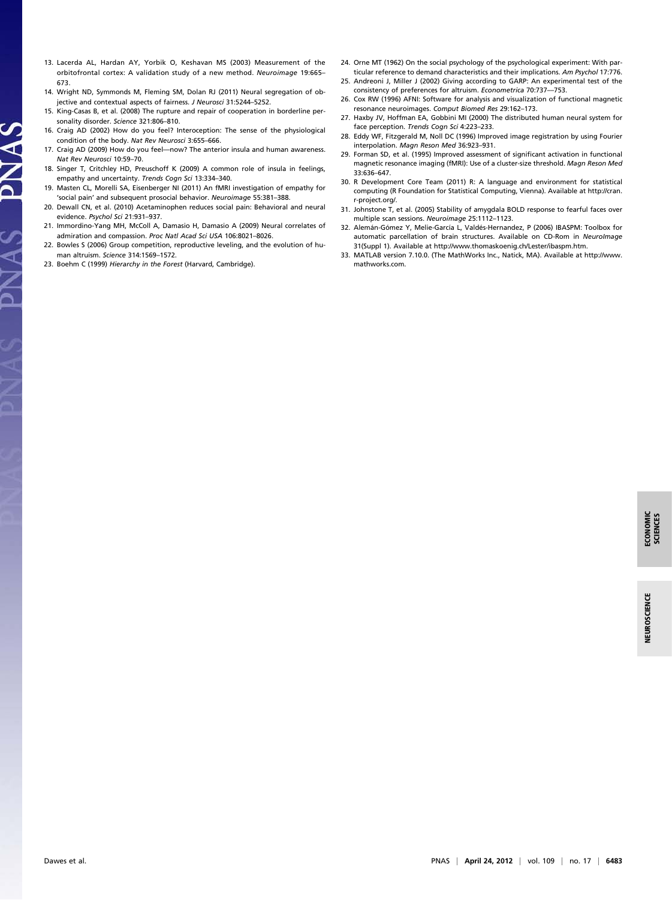- 13. Lacerda AL, Hardan AY, Yorbik O, Keshavan MS (2003) Measurement of the orbitofrontal cortex: A validation study of a new method. Neuroimage 19:665– 673.
- 14. Wright ND, Symmonds M, Fleming SM, Dolan RJ (2011) Neural segregation of objective and contextual aspects of fairness. J Neurosci 31:5244–5252.
- 15. King-Casas B, et al. (2008) The rupture and repair of cooperation in borderline personality disorder. Science 321:806–810.
- 16. Craig AD (2002) How do you feel? Interoception: The sense of the physiological condition of the body. Nat Rev Neurosci 3:655–666.
- 17. Craig AD (2009) How do you feel—now? The anterior insula and human awareness. Nat Rev Neurosci 10:59–70.
- 18. Singer T, Critchley HD, Preuschoff K (2009) A common role of insula in feelings, empathy and uncertainty. Trends Cogn Sci 13:334–340.
- 19. Masten CL, Morelli SA, Eisenberger NI (2011) An fMRI investigation of empathy for 'social pain' and subsequent prosocial behavior. Neuroimage 55:381–388.
- 20. Dewall CN, et al. (2010) Acetaminophen reduces social pain: Behavioral and neural evidence. Psychol Sci 21:931–937.
- 21. Immordino-Yang MH, McColl A, Damasio H, Damasio A (2009) Neural correlates of admiration and compassion. Proc Natl Acad Sci USA 106:8021–8026.
- 22. Bowles S (2006) Group competition, reproductive leveling, and the evolution of human altruism. Science 314:1569–1572.
- 23. Boehm C (1999) Hierarchy in the Forest (Harvard, Cambridge).

DN AC

- 24. Orne MT (1962) On the social psychology of the psychological experiment: With particular reference to demand characteristics and their implications. Am Psychol 17:776.
- 25. Andreoni J, Miller J (2002) Giving according to GARP: An experimental test of the consistency of preferences for altruism. Econometrica 70:737––753.
- 26. Cox RW (1996) AFNI: Software for analysis and visualization of functional magnetic resonance neuroimages. Comput Biomed Res 29:162–173.
- 27. Haxby JV, Hoffman EA, Gobbini MI (2000) The distributed human neural system for face perception. Trends Cogn Sci 4:223-233.
- 28. Eddy WF, Fitzgerald M, Noll DC (1996) Improved image registration by using Fourier interpolation. Magn Reson Med 36:923–931.
- 29. Forman SD, et al. (1995) Improved assessment of significant activation in functional magnetic resonance imaging (fMRI): Use of a cluster-size threshold. Magn Reson Med 33:636–647.
- 30. R Development Core Team (2011) R: A language and environment for statistical computing (R Foundation for Statistical Computing, Vienna). Available at [http://cran.](http://cran.r-project.org/) [r-project.org/](http://cran.r-project.org/).
- 31. Johnstone T, et al. (2005) Stability of amygdala BOLD response to fearful faces over multiple scan sessions. Neuroimage 25:1112–1123.
- 32. Alemán-Gómez Y, Melie-García L, Valdés-Hernandez, P (2006) IBASPM: Toolbox for automatic parcellation of brain structures. Available on CD-Rom in NeuroImage 31(Suppl 1). Available at<http://www.thomaskoenig.ch/Lester/ibaspm.htm>.
- 33. MATLAB version 7.10.0. (The MathWorks Inc., Natick, MA). Available at [http://www.](http://www.mathworks.com) [mathworks.com](http://www.mathworks.com).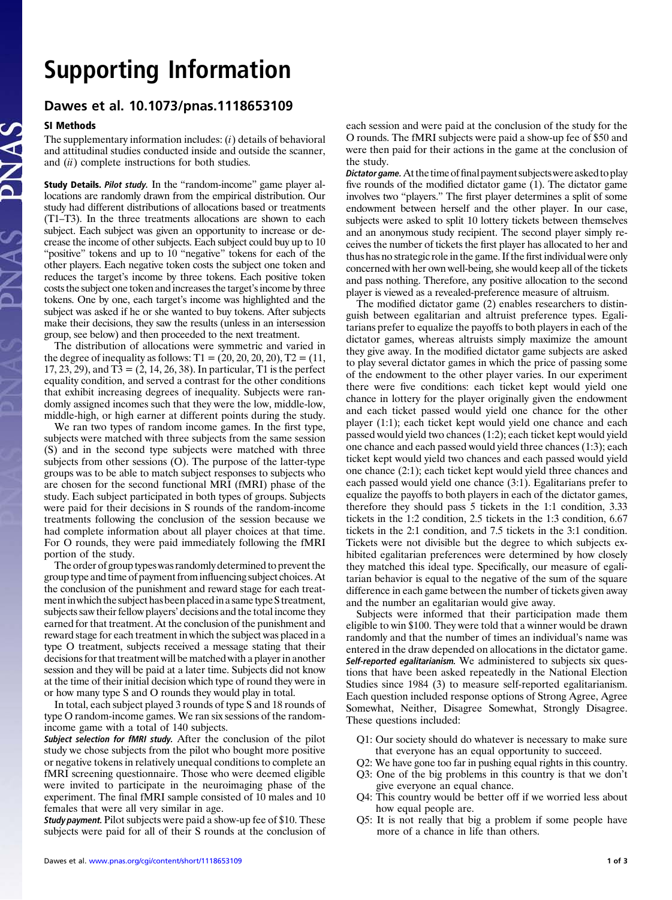# Supported the 1972 (see a 1140 CE2100)

### Dawes et al. 10.1073/pnas.1118653109

### SI Methods

The supplementary information includes:  $(i)$  details of behavioral and attitudinal studies conducted inside and outside the scanner, and  $(ii)$  complete instructions for both studies.

Study Details. Pilot study. In the "random-income" game player allocations are randomly drawn from the empirical distribution. Our study had different distributions of allocations based or treatments (T1–T3). In the three treatments allocations are shown to each subject. Each subject was given an opportunity to increase or decrease the income of other subjects. Each subject could buy up to 10 "positive" tokens and up to 10 "negative" tokens for each of the other players. Each negative token costs the subject one token and reduces the target's income by three tokens. Each positive token costs the subject one token and increases the target's income by three tokens. One by one, each target's income was highlighted and the subject was asked if he or she wanted to buy tokens. After subjects make their decisions, they saw the results (unless in an intersession group, see below) and then proceeded to the next treatment.

The distribution of allocations were symmetric and varied in the degree of inequality as follows:  $T1 = (20, 20, 20, 20)$ ,  $T2 = (11, 10)$ 17, 23, 29), and  $T3 = (2, 14, 26, 38)$ . In particular, T1 is the perfect equality condition, and served a contrast for the other conditions that exhibit increasing degrees of inequality. Subjects were randomly assigned incomes such that they were the low, middle-low, middle-high, or high earner at different points during the study.

We ran two types of random income games. In the first type, subjects were matched with three subjects from the same session (S) and in the second type subjects were matched with three subjects from other sessions (O). The purpose of the latter-type groups was to be able to match subject responses to subjects who are chosen for the second functional MRI (fMRI) phase of the study. Each subject participated in both types of groups. Subjects were paid for their decisions in S rounds of the random-income treatments following the conclusion of the session because we had complete information about all player choices at that time. For O rounds, they were paid immediately following the fMRI portion of the study.

The order of group types was randomly determined to prevent the group type and time of payment from influencing subject choices. At the conclusion of the punishment and reward stage for each treatment in which the subject has been placed in a same type S treatment, subjects saw their fellow players' decisions and the total income they earned for that treatment. At the conclusion of the punishment and reward stage for each treatment in which the subject was placed in a type O treatment, subjects received a message stating that their decisions for that treatment will be matched with a player in another session and they will be paid at a later time. Subjects did not know at the time of their initial decision which type of round they were in or how many type S and O rounds they would play in total.

In total, each subject played 3 rounds of type S and 18 rounds of type O random-income games. We ran six sessions of the randomincome game with a total of 140 subjects.

Subject selection for fMRI study. After the conclusion of the pilot study we chose subjects from the pilot who bought more positive or negative tokens in relatively unequal conditions to complete an fMRI screening questionnaire. Those who were deemed eligible were invited to participate in the neuroimaging phase of the experiment. The final fMRI sample consisted of 10 males and 10 females that were all very similar in age.

Study payment. Pilot subjects were paid a show-up fee of \$10. These subjects were paid for all of their S rounds at the conclusion of each session and were paid at the conclusion of the study for the O rounds. The fMRI subjects were paid a show-up fee of \$50 and were then paid for their actions in the game at the conclusion of the study.

Dictator game. At the time of final payment subjects were asked to play five rounds of the modified dictator game (1). The dictator game involves two "players." The first player determines a split of some endowment between herself and the other player. In our case, subjects were asked to split 10 lottery tickets between themselves and an anonymous study recipient. The second player simply receives the number of tickets the first player has allocated to her and thus has no strategic role in the game. If the first individual were only concerned with her own well-being, she would keep all of the tickets and pass nothing. Therefore, any positive allocation to the second player is viewed as a revealed-preference measure of altruism.

The modified dictator game (2) enables researchers to distinguish between egalitarian and altruist preference types. Egalitarians prefer to equalize the payoffs to both players in each of the dictator games, whereas altruists simply maximize the amount they give away. In the modified dictator game subjects are asked to play several dictator games in which the price of passing some of the endowment to the other player varies. In our experiment there were five conditions: each ticket kept would yield one chance in lottery for the player originally given the endowment and each ticket passed would yield one chance for the other player (1:1); each ticket kept would yield one chance and each passed would yield two chances (1:2); each ticket kept would yield one chance and each passed would yield three chances (1:3); each ticket kept would yield two chances and each passed would yield one chance (2:1); each ticket kept would yield three chances and each passed would yield one chance (3:1). Egalitarians prefer to equalize the payoffs to both players in each of the dictator games, therefore they should pass 5 tickets in the 1:1 condition, 3.33 tickets in the 1:2 condition, 2.5 tickets in the 1:3 condition, 6.67 tickets in the 2:1 condition, and 7.5 tickets in the 3:1 condition. Tickets were not divisible but the degree to which subjects exhibited egalitarian preferences were determined by how closely they matched this ideal type. Specifically, our measure of egalitarian behavior is equal to the negative of the sum of the square difference in each game between the number of tickets given away and the number an egalitarian would give away.

Subjects were informed that their participation made them eligible to win \$100. They were told that a winner would be drawn randomly and that the number of times an individual's name was entered in the draw depended on allocations in the dictator game. Self-reported egalitarianism. We administered to subjects six questions that have been asked repeatedly in the National Election Studies since 1984 (3) to measure self-reported egalitarianism. Each question included response options of Strong Agree, Agree Somewhat, Neither, Disagree Somewhat, Strongly Disagree. These questions included:

- Q1: Our society should do whatever is necessary to make sure that everyone has an equal opportunity to succeed.
- Q2: We have gone too far in pushing equal rights in this country.
- Q3: One of the big problems in this country is that we don't give everyone an equal chance.
- Q4: This country would be better off if we worried less about how equal people are.
- Q5: It is not really that big a problem if some people have more of a chance in life than others.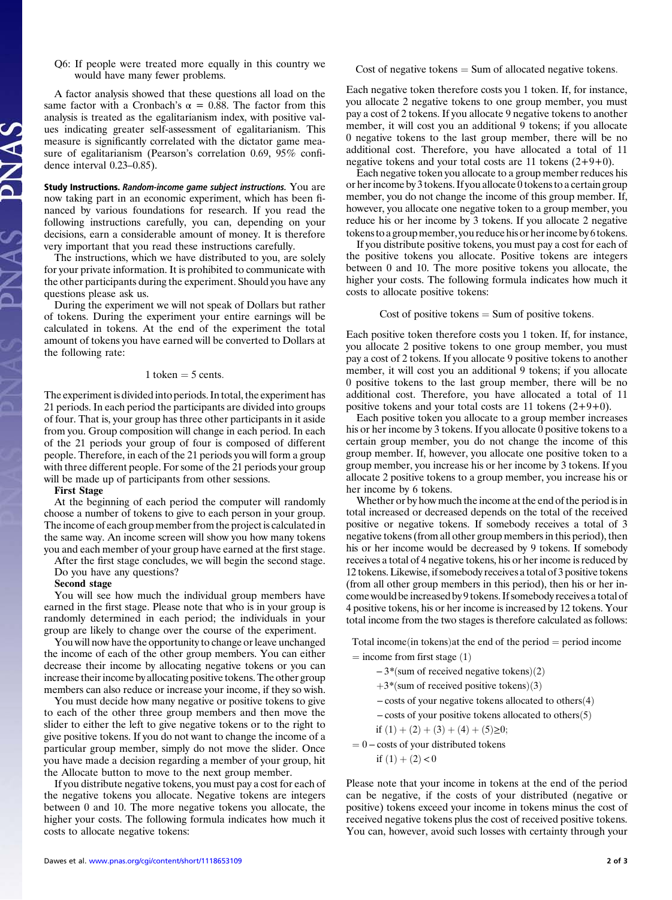Q6: If people were treated more equally in this country we would have many fewer problems.

A factor analysis showed that these questions all load on the same factor with a Cronbach's  $\alpha = 0.88$ . The factor from this analysis is treated as the egalitarianism index, with positive values indicating greater self-assessment of egalitarianism. This measure is significantly correlated with the dictator game measure of egalitarianism (Pearson's correlation 0.69, 95% confidence interval 0.23–0.85).

Study Instructions. Random-income game subject instructions. You are now taking part in an economic experiment, which has been financed by various foundations for research. If you read the following instructions carefully, you can, depending on your decisions, earn a considerable amount of money. It is therefore very important that you read these instructions carefully.

The instructions, which we have distributed to you, are solely for your private information. It is prohibited to communicate with the other participants during the experiment. Should you have any questions please ask us.

During the experiment we will not speak of Dollars but rather of tokens. During the experiment your entire earnings will be calculated in tokens. At the end of the experiment the total amount of tokens you have earned will be converted to Dollars at the following rate:

### 1 token  $=$  5 cents.

The experiment is divided into periods. In total, the experiment has 21 periods. In each period the participants are divided into groups of four. That is, your group has three other participants in it aside from you. Group composition will change in each period. In each of the 21 periods your group of four is composed of different people. Therefore, in each of the 21 periods you will form a group with three different people. For some of the 21 periods your group will be made up of participants from other sessions.

### First Stage

At the beginning of each period the computer will randomly choose a number of tokens to give to each person in your group. The income of each group member from the project is calculated in the same way. An income screen will show you how many tokens you and each member of your group have earned at the first stage.

After the first stage concludes, we will begin the second stage.

Do you have any questions?

### Second stage

You will see how much the individual group members have earned in the first stage. Please note that who is in your group is randomly determined in each period; the individuals in your group are likely to change over the course of the experiment.

You will now have the opportunity to change or leave unchanged the income of each of the other group members. You can either decrease their income by allocating negative tokens or you can increase their income by allocating positive tokens.The other group members can also reduce or increase your income, if they so wish.

You must decide how many negative or positive tokens to give to each of the other three group members and then move the slider to either the left to give negative tokens or to the right to give positive tokens. If you do not want to change the income of a particular group member, simply do not move the slider. Once you have made a decision regarding a member of your group, hit the Allocate button to move to the next group member.

If you distribute negative tokens, you must pay a cost for each of the negative tokens you allocate. Negative tokens are integers between 0 and 10. The more negative tokens you allocate, the higher your costs. The following formula indicates how much it costs to allocate negative tokens:

Cost of negative tokens  $=$  Sum of allocated negative tokens.

Each negative token therefore costs you 1 token. If, for instance, you allocate 2 negative tokens to one group member, you must pay a cost of 2 tokens. If you allocate 9 negative tokens to another member, it will cost you an additional 9 tokens; if you allocate 0 negative tokens to the last group member, there will be no additional cost. Therefore, you have allocated a total of 11 negative tokens and your total costs are 11 tokens (2+9+0).

Each negative token you allocate to a group member reduces his or her income by 3 tokens. If you allocate 0 tokens to a certain group member, you do not change the income of this group member. If, however, you allocate one negative token to a group member, you reduce his or her income by 3 tokens. If you allocate 2 negative tokens to a group member, you reduce his or herincome by 6 tokens.

If you distribute positive tokens, you must pay a cost for each of the positive tokens you allocate. Positive tokens are integers between 0 and 10. The more positive tokens you allocate, the higher your costs. The following formula indicates how much it costs to allocate positive tokens:

### Cost of positive tokens  $=$  Sum of positive tokens.

Each positive token therefore costs you 1 token. If, for instance, you allocate 2 positive tokens to one group member, you must pay a cost of 2 tokens. If you allocate 9 positive tokens to another member, it will cost you an additional 9 tokens; if you allocate 0 positive tokens to the last group member, there will be no additional cost. Therefore, you have allocated a total of 11 positive tokens and your total costs are 11 tokens  $(2+9+0)$ .

Each positive token you allocate to a group member increases his or her income by 3 tokens. If you allocate 0 positive tokens to a certain group member, you do not change the income of this group member. If, however, you allocate one positive token to a group member, you increase his or her income by 3 tokens. If you allocate 2 positive tokens to a group member, you increase his or her income by 6 tokens.

Whether or by how much the income at the end of the period is in total increased or decreased depends on the total of the received positive or negative tokens. If somebody receives a total of 3 negative tokens (from all other group members in this period), then his or her income would be decreased by 9 tokens. If somebody receives a total of 4 negative tokens, his or her income is reduced by 12 tokens. Likewise, if somebody receives a total of 3 positive tokens (from all other group members in this period), then his or her income would be increased by 9 tokens. If somebody receives a total of 4 positive tokens, his or her income is increased by 12 tokens. Your total income from the two stages is therefore calculated as follows:

Total income (in tokens) at the end of the period = period income  $=$  income from first stage  $(1)$ 

- $-3$ <sup>\*</sup>(sum of received negative tokens)(2)
- $+3*(sum of received positive tokens)(3)$
- − costs of your negative tokens allocated to others(4)
- − costs of your positive tokens allocated to others(5)

if 
$$
(1) + (2) + (3) + (4) + (5) \ge 0
$$
;

 $= 0$  – costs of your distributed tokens

if  $(1) + (2) < 0$ 

Please note that your income in tokens at the end of the period can be negative, if the costs of your distributed (negative or positive) tokens exceed your income in tokens minus the cost of received negative tokens plus the cost of received positive tokens. You can, however, avoid such losses with certainty through your